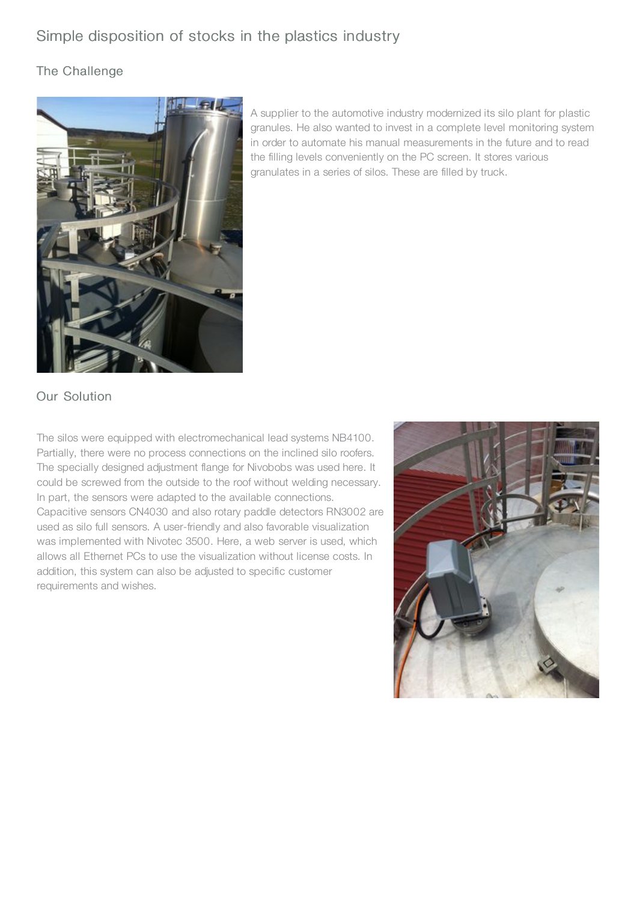# Simple disposition of stocks in the plastics industry

#### The Challenge



A supplier to the automotive industry modernized its silo plant for plastic granules. He also wanted to invest in a complete level monitoring system in order to automate his manual measurements in the future and to read the filling levels conveniently on the PC screen. It stores various granulates in a series of silos. These are filled by truck.

## Our Solution

The silos were equipped with electromechanical lead systems NB4100. Partially, there were no process connections on the inclined silo roofers. The specially designed adjustment flange for Nivobobs was used here. It could be screwed from the outside to the roof without welding necessary. In part, the sensors were adapted to the available connections. Capacitive sensors CN4030 and also rotary paddle detectors RN3002 are used as silo full sensors. A user-friendly and also favorable visualization was implemented with Nivotec 3500. Here, a web server is used, which allows all Ethernet PCs to use the visualization without license costs. In addition, this system can also be adjusted to specific customer requirements and wishes.